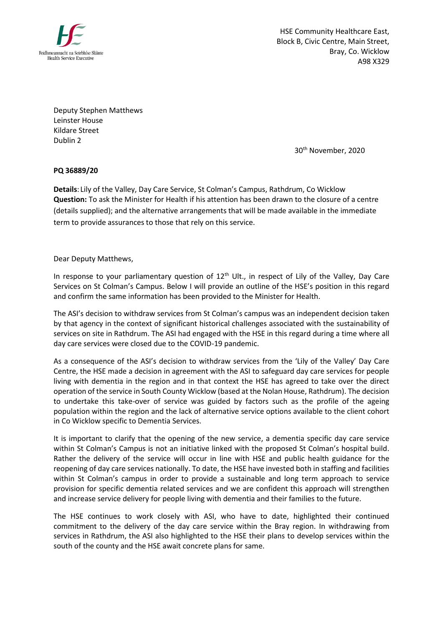

HSE Community Healthcare East, Block B, Civic Centre, Main Street, Bray, Co. Wicklow A98 X329

Deputy Stephen Matthews Leinster House Kildare Street Dublin 2

30th November, 2020

**PQ 36889/20**

**Details**: Lily of the Valley, Day Care Service, St Colman's Campus, Rathdrum, Co Wicklow **Question:** To ask the Minister for Health if his attention has been drawn to the closure of a centre (details supplied); and the alternative arrangements that will be made available in the immediate term to provide assurances to those that rely on this service.

Dear Deputy Matthews,

In response to your parliamentary question of 12<sup>th</sup> Ult., in respect of Lily of the Valley. Day Care Services on St Colman's Campus. Below I will provide an outline of the HSE's position in this regard and confirm the same information has been provided to the Minister for Health.

The ASI's decision to withdraw services from St Colman's campus was an independent decision taken by that agency in the context of significant historical challenges associated with the sustainability of services on site in Rathdrum. The ASI had engaged with the HSE in this regard during a time where all day care services were closed due to the COVID-19 pandemic.

As a consequence of the ASI's decision to withdraw services from the 'Lily of the Valley' Day Care Centre, the HSE made a decision in agreement with the ASI to safeguard day care services for people living with dementia in the region and in that context the HSE has agreed to take over the direct operation of the service in South County Wicklow (based at the Nolan House, Rathdrum). The decision to undertake this take-over of service was guided by factors such as the profile of the ageing population within the region and the lack of alternative service options available to the client cohort in Co Wicklow specific to Dementia Services.

It is important to clarify that the opening of the new service, a dementia specific day care service within St Colman's Campus is not an initiative linked with the proposed St Colman's hospital build. Rather the delivery of the service will occur in line with HSE and public health guidance for the reopening of day care services nationally. To date, the HSE have invested both in staffing and facilities within St Colman's campus in order to provide a sustainable and long term approach to service provision for specific dementia related services and we are confident this approach will strengthen and increase service delivery for people living with dementia and their families to the future.

The HSE continues to work closely with ASI, who have to date, highlighted their continued commitment to the delivery of the day care service within the Bray region. In withdrawing from services in Rathdrum, the ASI also highlighted to the HSE their plans to develop services within the south of the county and the HSE await concrete plans for same.